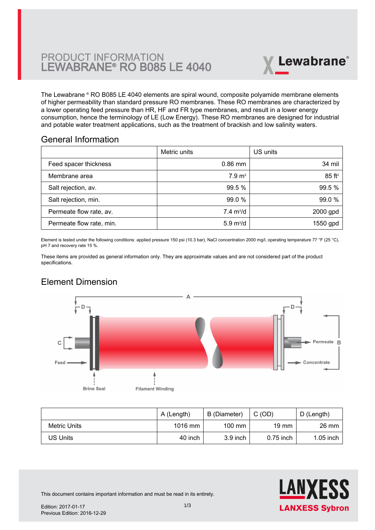# PRODUCT INFORMATION LEWABRANE® RO B085 LE 4040



The Lewabrane ® RO B085 LE 4040 elements are spiral wound, composite polyamide membrane elements [of higher permeability than standard pressure RO membranes. These RO membranes are characterized by](https://www.pureaqua.com/lanxess-lewabrane-b085-le-4040-membrane/) a lower operating feed pressure than HR, HF and FR type membranes, and result in a lower energy consumption, hence the terminology of LE (Low Energy). These RO membranes are designed for industrial and potable water treatment applications, such as the treatment of brackish and low salinity waters.

## General Information

|                          | Metric units               | US units             |
|--------------------------|----------------------------|----------------------|
| Feed spacer thickness    | $0.86$ mm                  | 34 mil               |
| Membrane area            | 7.9 m <sup>2</sup>         | $85$ ft <sup>2</sup> |
| Salt rejection, av.      | 99.5 %                     | 99.5 %               |
| Salt rejection, min.     | 99.0 %                     | 99.0 %               |
| Permeate flow rate, av.  | $7.4 \text{ m}^3/\text{d}$ | 2000 gpd             |
| Permeate flow rate, min. | $5.9 \text{ m}^3/\text{d}$ | 1550 gpd             |

Element is tested under the following conditions: applied pressure 150 psi (10.3 bar), NaCl concentration 2000 mg/l, operating temperature 77 °F (25 °C), pH 7 and recovery rate 15 %.

These items are provided as general information only. They are approximate values and are not considered part of the product specifications.

# Element Dimension



|              | A (Length) | B (Diameter)     | C(OD)           | D (Length)      |
|--------------|------------|------------------|-----------------|-----------------|
| Metric Units | $1016$ mm  | $100 \text{ mm}$ | $19 \text{ mm}$ | $26 \text{ mm}$ |
| US Units     | 40 inch    | $3.9$ inch       | $0.75$ inch     | $1.05$ inch     |



This document contains important information and must be read in its entirety.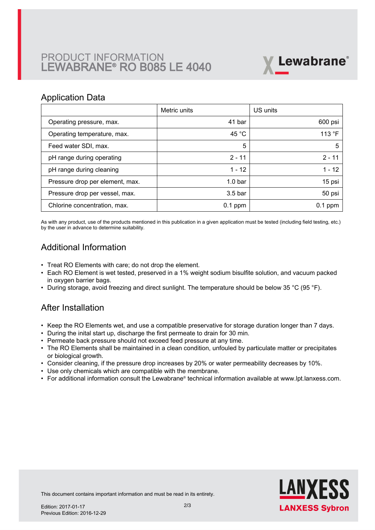# PRODUCT INFORMATION LEWABRANE® RO B085 LE 4040



### Application Data

|                                 | Metric units       | US units  |
|---------------------------------|--------------------|-----------|
| Operating pressure, max.        | 41 bar             | 600 psi   |
| Operating temperature, max.     | 45 $^{\circ}$ C    | 113 °F    |
| Feed water SDI, max.            | 5                  | 5         |
| pH range during operating       | $2 - 11$           | $2 - 11$  |
| pH range during cleaning        | $1 - 12$           | $1 - 12$  |
| Pressure drop per element, max. | 1.0 <sub>bar</sub> | 15 psi    |
| Pressure drop per vessel, max.  | 3.5 <sub>bar</sub> | 50 psi    |
| Chlorine concentration, max.    | $0.1$ ppm          | $0.1$ ppm |

As with any product, use of the products mentioned in this publication in a given application must be tested (including field testing, etc.) by the user in advance to determine suitability.

# Additional Information

- Treat RO Elements with care; do not drop the element.
- Each RO Element is wet tested, preserved in a 1% weight sodium bisulfite solution, and vacuum packed in oxygen barrier bags.
- During storage, avoid freezing and direct sunlight. The temperature should be below 35 °C (95 °F).

## After Installation

- Keep the RO Elements wet, and use a compatible preservative for storage duration longer than 7 days.
- During the inital start up, discharge the first permeate to drain for 30 min.
- Permeate back pressure should not exceed feed pressure at any time.
- The RO Elements shall be maintained in a clean condition, unfouled by particulate matter or precipitates or biological growth.
- Consider cleaning, if the pressure drop increases by 20% or water permeability decreases by 10%.
- Use only chemicals which are compatible with the membrane.
- For additional information consult the Lewabrane® technical information available at www.lpt.lanxess.com.



This document contains important information and must be read in its entirety.